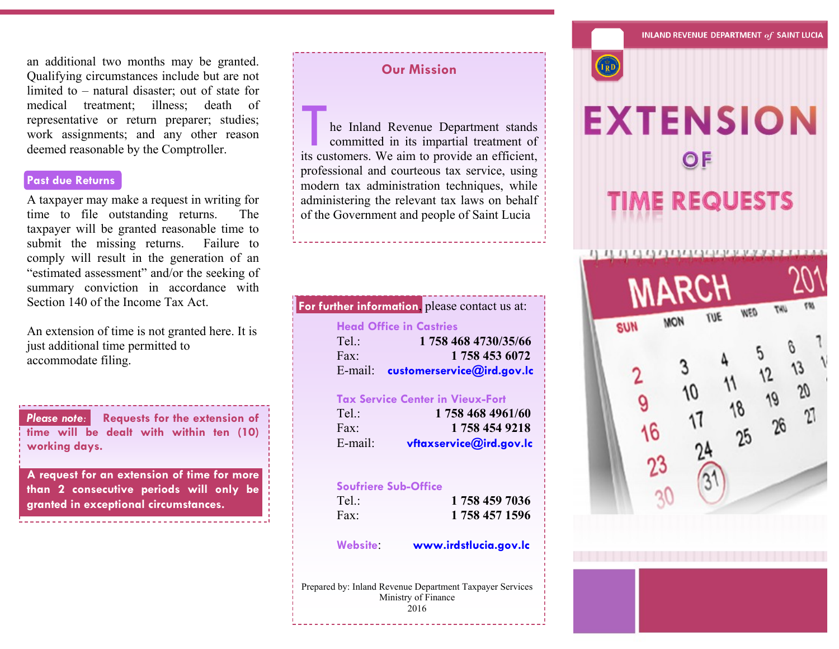an additional two months may be granted. Qualifying circumstances include but are not limited to – natural disaster; out of state for medical treatment; illness; death of representative or return preparer; studies; work assignments; and any other reason deemed reasonable by the Comptroller.

# **Past due Returns**

A taxpayer may make a request in writing for time to file outstanding returns. The taxpayer will be granted reasonable time to submit the missing returns. Failure to comply will result in the generation of an "estimated assessment" and/or the seeking of summary conviction in accordance with Section 140 of the Income Tax Act.

An extension of time is not granted here. It is just additional time permitted to accommodate filing.

*Please note:* **Requests for the extension of time will be dealt with within ten (10) working days.**

**A request for an extension of time for more than 2 consecutive periods will only be granted in exceptional circumstances.**

## **Our Mission**

**is a set of the Inland Revenue Department stands**<br>committed in its impartial treatment of<br>its customers. We aim to provide an efficient, he Inland Revenue Department stands committed in its impartial treatment of professional and courteous tax service, using modern tax administration techniques, while administering the relevant tax laws on behalf of the Government and people of Saint Lucia

#### **Head Office in Castries**

**For further information**, please contact us at:

Tel.: **1 758 468 4730/35/66** Fax: **1 758 453 6072** E-mail: **customerservice@ird.gov.lc**

#### **Tax Service Center in Vieux-Fort**

| Tel         | 1758 468 4961/60        |
|-------------|-------------------------|
| $\Gamma$ ax | 1758 454 9218           |
| E-mail:     | vftaxservice@ird.gov.lo |

#### **Soufriere Sub-Office**

| Tel: | 1 758 459 7036 |
|------|----------------|
| Fax: | 1 758 457 1596 |

**Website**: **www.irdstlucia.gov.lc**

Prepared by: Inland Revenue Department Taxpayer Services Ministry of Finance 2016